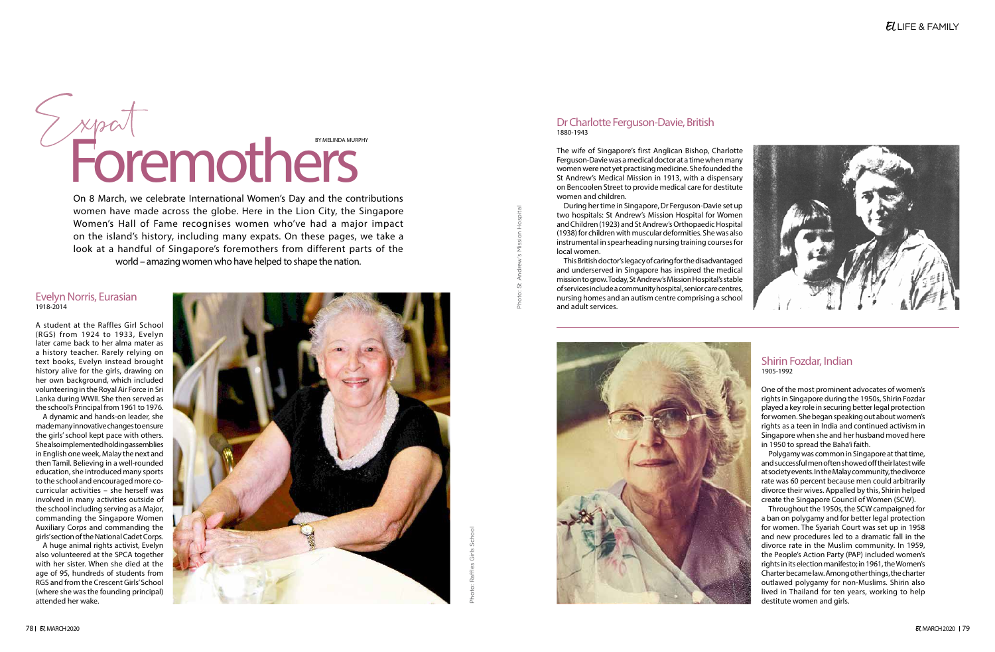



## Evelyn Norris, Eurasian 1918-2014

A student at the Raffles Girl School (RGS) from 1924 to 1933, Evelyn later came back to her alma mater as a history teacher. Rarely relying on text books, Evelyn instead brought history alive for the girls, drawing on her own background, which included volunteering in the Royal Air Force in Sri Lanka during WWII. She then served as the school's Principal from 1961 to 1976.

A dynamic and hands-on leader, she made many innovative changes to ensure the girls' school kept pace with others. She also implemented holding assemblies in English one week, Malay the next and then Tamil. Believing in a well-rounded education, she introduced many sports to the school and encouraged more cocurricular activities – she herself was involved in many activities outside of the school including serving as a Major, commanding the Singapore Women Auxiliary Corps and commanding the girls' section of the National Cadet Corps.

A huge animal rights activist, Evelyn also volunteered at the SPCA together with her sister. When she died at the age of 95, hundreds of students from RGS and from the Crescent Girls' School (where she was the founding principal) attended her wake.

On 8 March, we celebrate International Women's Day and the contributions women have made across the globe. Here in the Lion City, the Singapore Women's Hall of Fame recognises women who've had a major impact on the island's history, including many expats. On these pages, we take a look at a handful of Singapore's foremothers from different parts of the world – amazing women who have helped to shape the nation.



## Dr Charlotte Ferguson-Davie, British 1880-1943

The wife of Singapore's first Anglican Bishop, Charlotte Ferguson-Davie was a medical doctor at a time when many women were not yet practising medicine. She founded the St Andrew's Medical Mission in 1913, with a dispensary on Bencoolen Street to provide medical care for destitute women and children.

During her time in Singapore, Dr Ferguson-Davie set up two hospitals: St Andrew's Mission Hospital for Women and Children (1923) and St Andrew's Orthopaedic Hospital (1938) for children with muscular deformities. She was also instrumental in spearheading nursing training courses for local women.

This British doctor's legacy of caring for the disadvantaged and underserved in Singapore has inspired the medical mission to grow. Today, St Andrew's Mission Hospital's stable of services include a community hospital, senior care centres, nursing homes and an autism centre comprising a school and adult services.



# Shirin Fozdar, Indian

1905-1992

One of the most prominent advocates of women's rights in Singapore during the 1950s, Shirin Fozdar played a key role in securing better legal protection for women. She began speaking out about women's rights as a teen in India and continued activism in Singapore when she and her husband moved here in 1950 to spread the Baha'i faith.

Polygamy was common in Singapore at that time, and successful men often showed off their latest wife at society events. In the Malay community, the divorce rate was 60 percent because men could arbitrarily divorce their wives. Appalled by this, Shirin helped create the Singapore Council of Women (SCW).

Throughout the 1950s, the SCW campaigned for a ban on polygamy and for better legal protection for women. The Syariah Court was set up in 1958 and new procedures led to a dramatic fall in the divorce rate in the Muslim community. In 1959, the People's Action Party (PAP) included women's rights in its election manifesto; in 1961, the Women's Charter became law. Among other things, the charter outlawed polygamy for non-Muslims. Shirin also lived in Thailand for ten years, working to help destitute women and girls.